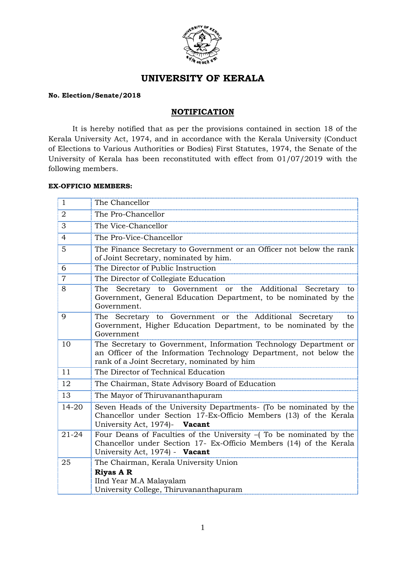

# **UNIVERSITY OF KERALA**

## **No. Election/Senate/2018**

# **NOTIFICATION**

It is hereby notified that as per the provisions contained in section 18 of the Kerala University Act, 1974, and in accordance with the Kerala University (Conduct of Elections to Various Authorities or Bodies) First Statutes, 1974, the Senate of the University of Kerala has been reconstituted with effect from 01/07/2019 with the following members.

#### **EX-OFFICIO MEMBERS:**

| $\mathbf{1}$   | The Chancellor                                                                                                                                                                         |
|----------------|----------------------------------------------------------------------------------------------------------------------------------------------------------------------------------------|
| $\overline{2}$ | The Pro-Chancellor                                                                                                                                                                     |
| 3              | The Vice-Chancellor                                                                                                                                                                    |
| 4              | The Pro-Vice-Chancellor                                                                                                                                                                |
| 5              | The Finance Secretary to Government or an Officer not below the rank<br>of Joint Secretary, nominated by him.                                                                          |
| 6              | The Director of Public Instruction                                                                                                                                                     |
| $\overline{7}$ | The Director of Collegiate Education                                                                                                                                                   |
| 8              | The Secretary to Government or the Additional Secretary to<br>Government, General Education Department, to be nominated by the<br>Government.                                          |
| 9              | The Secretary to Government or the Additional Secretary<br>to<br>Government, Higher Education Department, to be nominated by the<br>Government                                         |
| 10             | The Secretary to Government, Information Technology Department or<br>an Officer of the Information Technology Department, not below the<br>rank of a Joint Secretary, nominated by him |
| 11             | The Director of Technical Education                                                                                                                                                    |
| 12             | The Chairman, State Advisory Board of Education                                                                                                                                        |
| 13             | The Mayor of Thiruvananthapuram                                                                                                                                                        |
| 14-20          | Seven Heads of the University Departments- (To be nominated by the<br>Chancellor under Section 17-Ex-Officio Members (13) of the Kerala<br>University Act, 1974)- Vacant               |
| $21 - 24$      | Four Deans of Faculties of the University $-$ (To be nominated by the<br>Chancellor under Section 17- Ex-Officio Members (14) of the Kerala<br>University Act, 1974) - Vacant          |
| 25             | The Chairman, Kerala University Union                                                                                                                                                  |
|                | <b>Riyas A R</b><br>IInd Year M.A Malayalam<br>University College, Thiruvananthapuram                                                                                                  |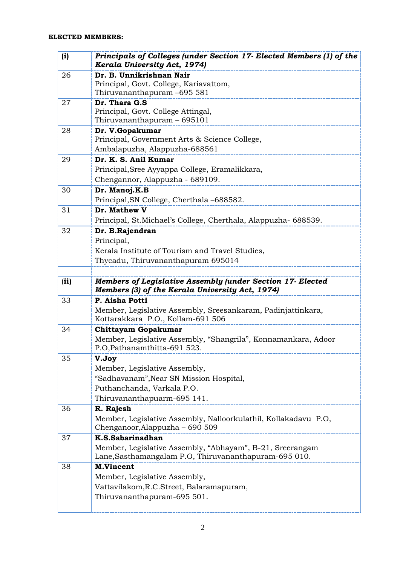| (i)  | Principals of Colleges (under Section 17- Elected Members (1) of the<br>Kerala University Act, 1974)                |
|------|---------------------------------------------------------------------------------------------------------------------|
| 26   | Dr. B. Unnikrishnan Nair                                                                                            |
|      | Principal, Govt. College, Kariavattom,                                                                              |
|      | Thiruvananthapuram –695 581                                                                                         |
| 27   | Dr. Thara G.S<br>Principal, Govt. College Attingal,                                                                 |
|      | Thiruvananthapuram - 695101                                                                                         |
| 28   | Dr. V.Gopakumar                                                                                                     |
|      | Principal, Government Arts & Science College,                                                                       |
|      | Ambalapuzha, Alappuzha-688561                                                                                       |
| 29   | Dr. K. S. Anil Kumar                                                                                                |
|      | Principal, Sree Ayyappa College, Eramalikkara,                                                                      |
|      | Chengannor, Alappuzha - 689109.                                                                                     |
| 30   | Dr. Manoj.K.B                                                                                                       |
|      | Principal, SN College, Cherthala -688582.                                                                           |
| 31   | Dr. Mathew V                                                                                                        |
|      | Principal, St. Michael's College, Cherthala, Alappuzha- 688539.                                                     |
| 32   | Dr. B.Rajendran                                                                                                     |
|      | Principal,                                                                                                          |
|      | Kerala Institute of Tourism and Travel Studies,                                                                     |
|      | Thycadu, Thiruvananthapuram 695014                                                                                  |
|      |                                                                                                                     |
| (ii) | Members of Legislative Assembly (under Section 17- Elected<br>Members (3) of the Kerala University Act, 1974)       |
| 33   | P. Aisha Potti                                                                                                      |
|      | Member, Legislative Assembly, Sreesankaram, Padinjattinkara,<br>Kottarakkara P.O., Kollam-691 506                   |
| 34   | Chittayam Gopakumar                                                                                                 |
|      | Member, Legislative Assembly, "Shangrila", Konnamankara, Adoor<br>P.O,Pathanamthitta-691 523.                       |
| 35   | V.Joy                                                                                                               |
|      | Member, Legislative Assembly,                                                                                       |
|      | "Sadhavanam", Near SN Mission Hospital,                                                                             |
|      | Puthanchanda, Varkala P.O.                                                                                          |
|      | Thiruvananthapuarm-695 141.                                                                                         |
| 36   | R. Rajesh                                                                                                           |
|      | Member, Legislative Assembly, Nalloorkulathil, Kollakadavu P.O,<br>Chenganoor, Alappuzha - 690 509                  |
| 37   | K.S.Sabarinadhan                                                                                                    |
|      | Member, Legislative Assembly, "Abhayam", B-21, Sreerangam<br>Lane, Sasthamangalam P.O., Thiruvananthapuram-695 010. |
| 38   | <b>M.Vincent</b>                                                                                                    |
|      | Member, Legislative Assembly,                                                                                       |
|      | Vattavilakom, R.C. Street, Balaramapuram,                                                                           |
|      | Thiruvananthapuram-695 501.                                                                                         |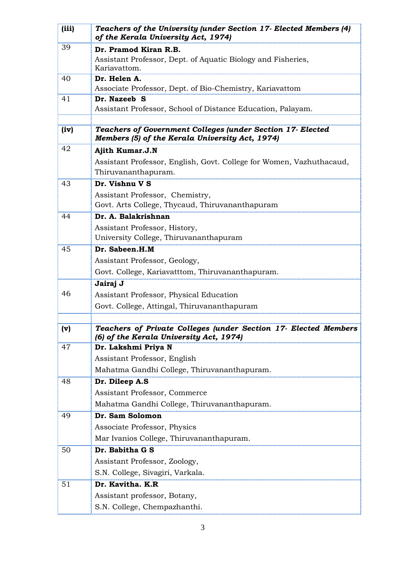| (iii) | Teachers of the University (under Section 17- Elected Members (4)<br>of the Kerala University Act, 1974)      |
|-------|---------------------------------------------------------------------------------------------------------------|
| 39    | Dr. Pramod Kiran R.B.                                                                                         |
|       | Assistant Professor, Dept. of Aquatic Biology and Fisheries,<br>Kariavattom.                                  |
| 40    | Dr. Helen A.                                                                                                  |
|       | Associate Professor, Dept. of Bio-Chemistry, Kariavattom                                                      |
| 41    | Dr. Nazeeb S                                                                                                  |
|       | Assistant Professor, School of Distance Education, Palayam.                                                   |
| (iv)  | Teachers of Government Colleges (under Section 17- Elected<br>Members (5) of the Kerala University Act, 1974) |
| 42    | Ajith Kumar.J.N                                                                                               |
|       | Assistant Professor, English, Govt. College for Women, Vazhuthacaud,<br>Thiruvananthapuram.                   |
| 43    | Dr. Vishnu V S                                                                                                |
|       | Assistant Professor, Chemistry,                                                                               |
|       | Govt. Arts College, Thycaud, Thiruvananthapuram                                                               |
| 44    | Dr. A. Balakrishnan                                                                                           |
|       | Assistant Professor, History,<br>University College, Thiruvananthapuram                                       |
| 45    | Dr. Sabeen.H.M                                                                                                |
|       | Assistant Professor, Geology,                                                                                 |
|       | Govt. College, Kariavatttom, Thiruvananthapuram.                                                              |
|       | Jairaj J                                                                                                      |
| 46    | Assistant Professor, Physical Education                                                                       |
|       | Govt. College, Attingal, Thiruvananthapuram                                                                   |
| (v)   | Teachers of Private Colleges (under Section 17- Elected Members                                               |
|       | (6) of the Kerala University Act, 1974)                                                                       |
| 47    | Dr. Lakshmi Priya N                                                                                           |
|       | Assistant Professor, English                                                                                  |
|       | Mahatma Gandhi College, Thiruvananthapuram.                                                                   |
| 48    | Dr. Dileep A.S                                                                                                |
|       | Assistant Professor, Commerce                                                                                 |
|       | Mahatma Gandhi College, Thiruvananthapuram.                                                                   |
| 49    | Dr. Sam Solomon                                                                                               |
|       | Associate Professor, Physics                                                                                  |
|       | Mar Ivanios College, Thiruvananthapuram.                                                                      |
| 50    | Dr. Babitha G S                                                                                               |
|       | Assistant Professor, Zoology,                                                                                 |
|       | S.N. College, Sivagiri, Varkala.                                                                              |
| 51    | Dr. Kavitha. K.R                                                                                              |
|       | Assistant professor, Botany,                                                                                  |
|       | S.N. College, Chempazhanthi.                                                                                  |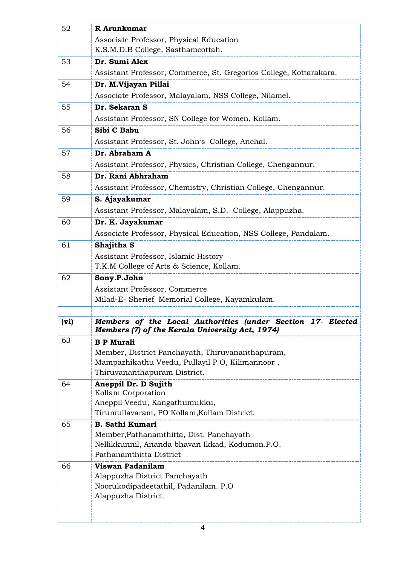| 52   | R Arunkumar                                                                                                          |
|------|----------------------------------------------------------------------------------------------------------------------|
|      | Associate Professor, Physical Education                                                                              |
|      | K.S.M.D.B College, Sasthamcottah.                                                                                    |
| 53   | Dr. Sumi Alex                                                                                                        |
|      | Assistant Professor, Commerce, St. Gregorios College, Kottarakara.                                                   |
| 54   | Dr. M.Vijayan Pillai                                                                                                 |
|      | Associate Professor, Malayalam, NSS College, Nilamel.                                                                |
| 55   | Dr. Sekaran S                                                                                                        |
|      | Assistant Professor, SN College for Women, Kollam.                                                                   |
| 56   | Sibi C Babu                                                                                                          |
|      | Assistant Professor, St. John's College, Anchal.                                                                     |
| 57   | Dr. Abraham A                                                                                                        |
|      | Assistant Professor, Physics, Christian College, Chengannur.                                                         |
| 58   | Dr. Rani Abhraham                                                                                                    |
|      | Assistant Professor, Chemistry, Christian College, Chengannur.                                                       |
| 59   | S. Ajayakumar                                                                                                        |
|      | Assistant Professor, Malayalam, S.D. College, Alappuzha.                                                             |
| 60   | Dr. K. Jayakumar                                                                                                     |
|      | Associate Professor, Physical Education, NSS College, Pandalam.                                                      |
| 61   | Shajitha S                                                                                                           |
|      | Assistant Professor, Islamic History                                                                                 |
|      | T.K.M College of Arts & Science, Kollam.                                                                             |
| 62   | Sony.P.John                                                                                                          |
|      | Assistant Professor, Commerce                                                                                        |
|      | Milad-E- Sherief Memorial College, Kayamkulam.                                                                       |
|      |                                                                                                                      |
| (vi) | Members of the Local Authorities (under Section<br>17-<br>Elected<br>Members (7) of the Kerala University Act, 1974) |
| 63   | <b>B P Murali</b>                                                                                                    |
|      | Member, District Panchayath, Thiruvananthapuram,                                                                     |
|      | Mampazhikathu Veedu, Pullayil P O, Kilimannoor,                                                                      |
|      | Thiruvananthapuram District.                                                                                         |
| 64   | Aneppil Dr. D Sujith                                                                                                 |
|      | Kollam Corporation<br>Aneppil Veedu, Kangathumukku,                                                                  |
|      | Tirumullavaram, PO Kollam,Kollam District.                                                                           |
| 65   | <b>B. Sathi Kumari</b>                                                                                               |
|      | Member, Pathanamthitta, Dist. Panchayath                                                                             |
|      | Nellikkunnil, Ananda bhavan Ikkad, Kodumon.P.O.                                                                      |
|      | Pathanamthitta District                                                                                              |
| 66   | Viswan Padanilam                                                                                                     |
|      | Alappuzha District Panchayath                                                                                        |
|      | Noorukodipadeetathil, Padanilam. P.O.                                                                                |
|      | Alappuzha District.                                                                                                  |
|      |                                                                                                                      |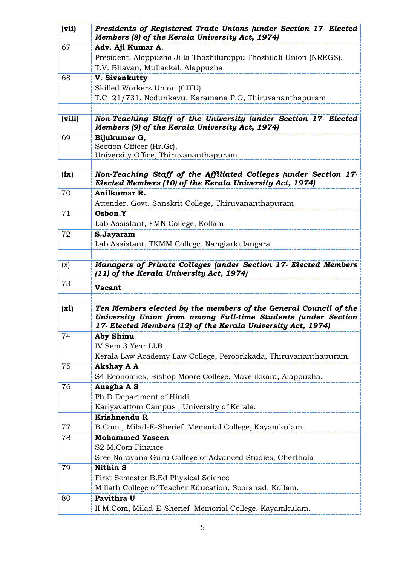| (vii)  | Presidents of Registered Trade Unions (under Section 17- Elected<br>Members (8) of the Kerala University Act, 1974)               |
|--------|-----------------------------------------------------------------------------------------------------------------------------------|
| 67     | Adv. Aji Kumar A.                                                                                                                 |
|        | President, Alappuzha Jilla Thozhilurappu Thozhilali Union (NREGS),                                                                |
|        | T.V. Bhavan, Mullackal, Alappuzha.                                                                                                |
| 68     | V. Sivankutty                                                                                                                     |
|        | Skilled Workers Union (CITU)                                                                                                      |
|        | T.C 21/731, Nedunkavu, Karamana P.O, Thiruvananthapuram                                                                           |
| (viii) | Non-Teaching Staff of the University (under Section 17- Elected                                                                   |
|        | Members (9) of the Kerala University Act, 1974)                                                                                   |
| 69     | Bijukumar G,                                                                                                                      |
|        | Section Officer (Hr.Gr),                                                                                                          |
|        | University Office, Thiruvananthapuram                                                                                             |
|        |                                                                                                                                   |
| (ix)   | Non-Teaching Staff of the Affiliated Colleges (under Section 17-<br>Elected Members (10) of the Kerala University Act, 1974)      |
| 70     | Anilkumar R.                                                                                                                      |
|        | Attender, Govt. Sanskrit College, Thiruvananthapuram                                                                              |
| 71     | Osbon.Y                                                                                                                           |
|        | Lab Assistant, FMN College, Kollam                                                                                                |
| 72     | S.Jayaram                                                                                                                         |
|        | Lab Assistant, TKMM College, Nangiarkulangara                                                                                     |
| (x)    | <b>Managers of Private Colleges (under Section 17- Elected Members</b>                                                            |
|        | (11) of the Kerala University Act, 1974)                                                                                          |
| 73     | <b>Vacant</b>                                                                                                                     |
|        |                                                                                                                                   |
| (xi)   | Ten Members elected by the members of the General Council of the<br>University Union from among Full-time Students (under Section |
|        | 17- Elected Members (12) of the Kerala University Act, 1974)                                                                      |
| 74     | <b>Aby Shinu</b>                                                                                                                  |
|        | IV Sem 3 Year LLB                                                                                                                 |
|        | Kerala Law Academy Law College, Peroorkkada, Thiruvananthapuram.                                                                  |
| 75     | <b>Akshay A A</b>                                                                                                                 |
|        | S4 Economics, Bishop Moore College, Mavelikkara, Alappuzha.                                                                       |
| 76     | Anagha A S                                                                                                                        |
|        | Ph.D Department of Hindi                                                                                                          |
|        | Kariyavattom Campus, University of Kerala.                                                                                        |
|        | Krishnendu R                                                                                                                      |
| 77     | B.Com, Milad-E-Sherief Memorial College, Kayamkulam.                                                                              |
| 78     | <b>Mohammed Yaseen</b>                                                                                                            |
|        | S2 M.Com Finance                                                                                                                  |
|        | Sree Narayana Guru College of Advanced Studies, Cherthala                                                                         |
| 79     | <b>Nithin S</b>                                                                                                                   |
|        | First Semester B.Ed Physical Science                                                                                              |
|        | Millath College of Teacher Education, Sooranad, Kollam.                                                                           |
| 80     | Pavithra U                                                                                                                        |
|        | II M.Com, Milad-E-Sherief Memorial College, Kayamkulam.                                                                           |